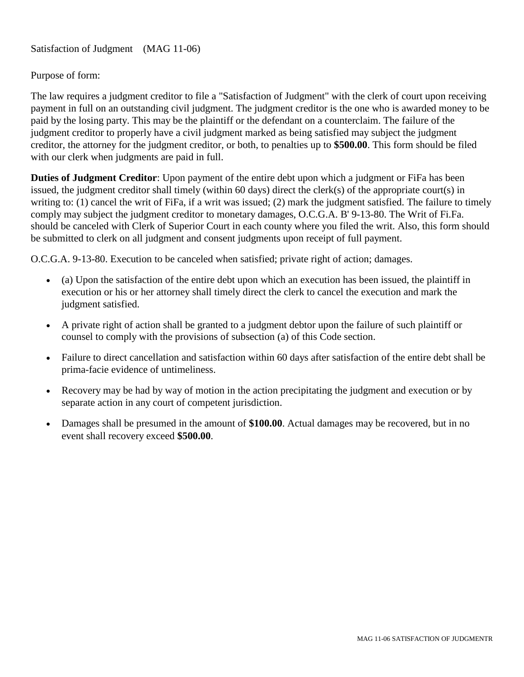Satisfaction of Judgment (MAG 11-06)

## Purpose of form:

The law requires a judgment creditor to file a "Satisfaction of Judgment" with the clerk of court upon receiving payment in full on an outstanding civil judgment. The judgment creditor is the one who is awarded money to be paid by the losing party. This may be the plaintiff or the defendant on a counterclaim. The failure of the judgment creditor to properly have a civil judgment marked as being satisfied may subject the judgment creditor, the attorney for the judgment creditor, or both, to penalties up to **\$500.00**. This form should be filed with our clerk when judgments are paid in full.

**Duties of Judgment Creditor**: Upon payment of the entire debt upon which a judgment or FiFa has been issued, the judgment creditor shall timely (within 60 days) direct the clerk(s) of the appropriate court(s) in writing to: (1) cancel the writ of FiFa, if a writ was issued; (2) mark the judgment satisfied. The failure to timely comply may subject the judgment creditor to monetary damages, O.C.G.A. B' 9-13-80. The Writ of Fi.Fa. should be canceled with Clerk of Superior Court in each county where you filed the writ. Also, this form should be submitted to clerk on all judgment and consent judgments upon receipt of full payment.

O.C.G.A. 9-13-80. Execution to be canceled when satisfied; private right of action; damages.

- (a) Upon the satisfaction of the entire debt upon which an execution has been issued, the plaintiff in execution or his or her attorney shall timely direct the clerk to cancel the execution and mark the judgment satisfied.
- A private right of action shall be granted to a judgment debtor upon the failure of such plaintiff or counsel to comply with the provisions of subsection (a) of this Code section.
- Failure to direct cancellation and satisfaction within 60 days after satisfaction of the entire debt shall be prima-facie evidence of untimeliness.
- Recovery may be had by way of motion in the action precipitating the judgment and execution or by separate action in any court of competent jurisdiction.
- Damages shall be presumed in the amount of **\$100.00**. Actual damages may be recovered, but in no event shall recovery exceed **\$500.00**.